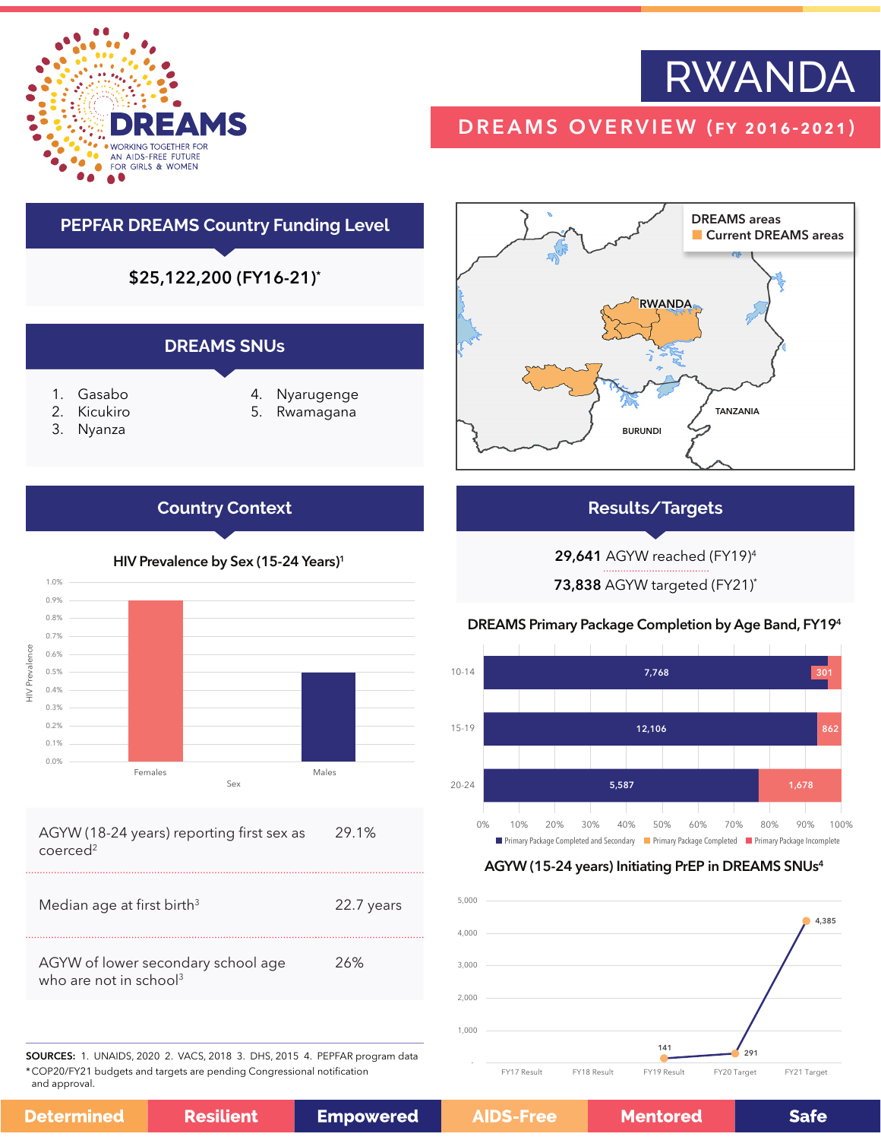

# RWANDA

# DREAMS OVERVIEW (fy 2016-2021)

# **PEPFAR DREAMS Country Funding Level**

\$25,122,200 (FY16-21)\*

## **DREAMS SNUs**

- 1. Gasabo
- 2. Kicukiro
- 3. Nyanza

0.0% 0.1%

HIV Prevalence

**IN** Prevalence

- 4. Nyarugenge
- 5. Rwamagana



# **Results/Targets**

29,641 AGYW reached (FY19)4

73,838 AGYW targeted (FY21)\*

### DREAMS Primary Package Completion by Age Band, FY194



#### AGYW (15-24 years) Initiating PrEP in DREAMS SNUs4



0.2% 0.3% 0.4% 0.5% 0.6% 0.7% 0.8% 0.9% 1.0%

**Country Context**

HIV Prevalence by Sex (15-24 Years)<sup>1</sup>

Sex Females Males

#### AGYW (18-24 years) reporting first sex as coerced2 29.1%

| Median age at first birth <sup>3</sup><br>22.7 years                            |  |
|---------------------------------------------------------------------------------|--|
| AGYW of lower secondary school age<br>26%<br>who are not in school <sup>3</sup> |  |

SOURCES: 1. UNAIDS, 2020 2. VACS, 2018 3. DHS, 2015 4. PEPFAR program data \*COP20/FY21 budgets and targets are pending Congressional notification and approval.

**Resilient Empowered Determined** 

## **AIDS-Free**

**Mentored**